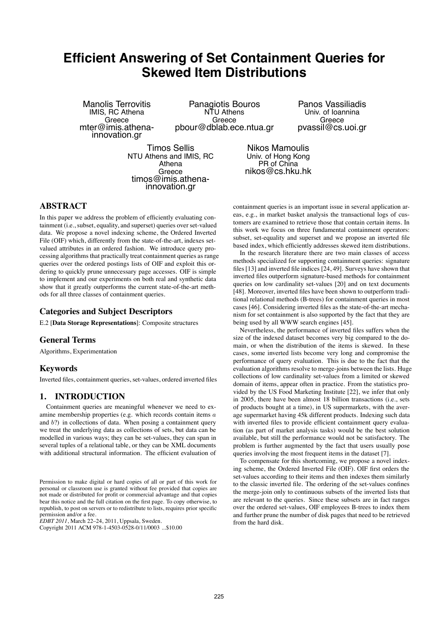# **Efficient Answering of Set Containment Queries for Skewed Item Distributions**

Manolis Terrovitis IMIS, RC Athena Greece mter@imis.athenainnovation.gr

Panagiotis Bouros NTU Athens Greece pbour@dblab.ece.ntua.gr Panos Vassiliadis Univ. of Ioannina Greece pvassil@cs.uoi.gr

Timos Sellis NTU Athens and IMIS, RC Athena Greece timos@imis.athenainnovation.gr

Nikos Mamoulis Univ. of Hong Kong PR of China nikos@cs.hku.hk

# **ABSTRACT**

In this paper we address the problem of efficiently evaluating containment (i.e., subset, equality, and superset) queries over set-valued data. We propose a novel indexing scheme, the Ordered Inverted File (OIF) which, differently from the state-of-the-art, indexes setvalued attributes in an ordered fashion. We introduce query processing algorithms that practically treat containment queries as range queries over the ordered postings lists of OIF and exploit this ordering to quickly prune unnecessary page accesses. OIF is simple to implement and our experiments on both real and synthetic data show that it greatly outperforms the current state-of-the-art methods for all three classes of containment queries.

## **Categories and Subject Descriptors**

E.2 [**Data Storage Representations**]: Composite structures

## **General Terms**

Algorithms, Experimentation

## **Keywords**

Inverted files, containment queries, set-values, ordered inverted files

#### **1. INTRODUCTION**

Containment queries are meaningful whenever we need to examine membership properties (e.g. which records contain items a and  $b$ ?) in collections of data. When posing a containment query we treat the underlying data as collections of sets, but data can be modelled in various ways; they can be set-values, they can span in several tuples of a relational table, or they can be XML documents with additional structural information. The efficient evaluation of

*EDBT 2011*, March 22–24, 2011, Uppsala, Sweden.

Copyright 2011 ACM 978-1-4503-0528-0/11/0003 ...\$10.00

containment queries is an important issue in several application areas, e.g., in market basket analysis the transactional logs of customers are examined to retrieve those that contain certain items. In this work we focus on three fundamental containment operators: subset, set-equality and superset and we propose an inverted file based index, which efficiently addresses skewed item distributions.

In the research literature there are two main classes of access methods specialized for supporting containment queries: signature files [13] and inverted file indices [24, 49]. Surveys have shown that inverted files outperform signature-based methods for containment queries on low cardinality set-values [20] and on text documents [48]. Moreover, inverted files have been shown to outperform traditional relational methods (B-trees) for containment queries in most cases [46]. Considering inverted files as the state-of-the-art mechanism for set containment is also supported by the fact that they are being used by all WWW search engines [45].

Nevertheless, the performance of inverted files suffers when the size of the indexed dataset becomes very big compared to the domain, or when the distribution of the items is skewed. In these cases, some inverted lists become very long and compromise the performance of query evaluation. This is due to the fact that the evaluation algorithms resolve to merge-joins between the lists. Huge collections of low cardinality set-values from a limited or skewed domain of items, appear often in practice. From the statistics provided by the US Food Marketing Institute [22], we infer that only in 2005, there have been almost 18 billion transactions (i.e., sets of products bought at a time), in US supermarkets, with the average supermarket having 45k different products. Indexing such data with inverted files to provide efficient containment query evaluation (as part of market analysis tasks) would be the best solution available, but still the performance would not be satisfactory. The problem is further augmented by the fact that users usually pose queries involving the most frequent items in the dataset [7].

To compensate for this shortcoming, we propose a novel indexing scheme, the Ordered Inverted File (OIF). OIF first orders the set-values according to their items and then indexes them similarly to the classic inverted file. The ordering of the set-values confines the merge-join only to continuous subsets of the inverted lists that are relevant to the queries. Since these subsets are in fact ranges over the ordered set-values, OIF employees B-trees to index them and further prune the number of disk pages that need to be retrieved from the hard disk.

Permission to make digital or hard copies of all or part of this work for personal or classroom use is granted without fee provided that copies are not made or distributed for profit or commercial advantage and that copies bear this notice and the full citation on the first page. To copy otherwise, to republish, to post on servers or to redistribute to lists, requires prior specific permission and/or a fee.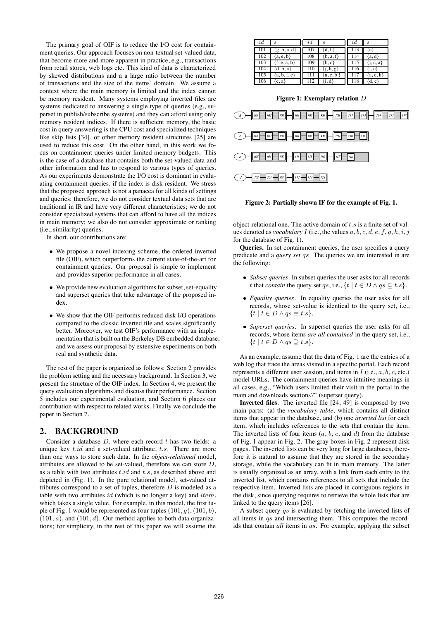The primary goal of OIF is to reduce the I/O cost for containment queries. Our approach focuses on non-textual set-valued data, that become more and more apparent in practice, e.g., transactions from retail stores, web logs etc. This kind of data is characterized by skewed distributions and a a large ratio between the number of transactions and the size of the items' domain. We assume a context where the main memory is limited and the index cannot be memory resident. Many systems employing inverted files are systems dedicated to answering a single type of queries (e.g., superset in publish/subscribe systems) and they can afford using only memory resident indices. If there is sufficient memory, the basic cost in query answering is the CPU cost and specialized techniques like skip lists [34], or other memory resident structures [25] are used to reduce this cost. On the other hand, in this work we focus on containment queries under limited memory budgets. This is the case of a database that contains both the set-valued data and other information and has to respond to various types of queries. As our experiments demonstrate the I/O cost is dominant in evaluating containment queries, if the index is disk resident. We stress that the proposed approach is not a panacea for all kinds of settings and queries: therefore, we do not consider textual data sets that are traditional in IR and have very different characteristics; we do not consider specialized systems that can afford to have all the indices in main memory; we also do not consider approximate or ranking (i.e., similarity) queries.

In short, our contributions are:

- We propose a novel indexing scheme, the ordered inverted file (OIF), which outperforms the current state-of-the-art for containment queries. Our proposal is simple to implement and provides superior performance in all cases.
- We provide new evaluation algorithms for subset, set-equality and superset queries that take advantage of the proposed index.
- We show that the OIF performs reduced disk I/O operations compared to the classic inverted file and scales significantly better. Moreover, we test OIF's performance with an implementation that is built on the Berkeley DB embedded database, and we assess our proposal by extensive experiments on both real and synthetic data.

The rest of the paper is organized as follows: Section 2 provides the problem setting and the necessary background. In Section 3, we present the structure of the OIF index. In Section 4, we present the query evaluation algorithms and discuss their performance. Section 5 includes our experimental evaluation, and Section 6 places our contribution with respect to related works. Finally we conclude the paper in Section 7.

## **2. BACKGROUND**

Consider a database  $D$ , where each record  $t$  has two fields: a unique key  $t$ , *id* and a set-valued attribute,  $t$ , *s*. There are more than one ways to store such data. In the *object-relational* model, attributes are allowed to be set-valued, therefore we can store  $D$ , as a table with two attributes  $t.id$  and  $t.s$ , as described above and depicted in (Fig. 1). In the pure relational model, set-valued attributes correspond to a set of tuples, therefore  $D$  is modeled as a table with two attributes  $id$  (which is no longer a key) and  $item$ , which takes a single value. For example, in this model, the first tuple of Fig. 1 would be represented as four tuples  $(101, g)$ ,  $(101, b)$ ,  $(101, a)$ , and  $(101, d)$ . Our method applies to both data organizations; for simplicity, in the rest of this paper we will assume the

| id  | s                | id  | S             | id  | s             |
|-----|------------------|-----|---------------|-----|---------------|
| 101 | ${g, b, a, d}$   | 107 | $\{d, h\}$    | 113 | {a}           |
| 102 | $\{a, e, b\}$    | 108 | $\{b, a, f\}$ | 114 | $\{a,d\}$     |
| 103 | $\{f, e, a, b\}$ | 109 | $\{b, c\}$    | 115 | $\{j,c,a\}$   |
| 104 | $\{d, b, a\}$    | 110 | $\{j, b, g\}$ | 116 | $\{i, c\}$    |
| 105 | ${a, b, f, c}$   |     | $\{a, c, b\}$ |     | $\{a, c, h\}$ |
| 106 | {c,a¦            |     | {1, d}        | 118 | {d. c¦        |

**Figure 1: Exemplary relation** D



**Figure 2: Partially shown IF for the example of Fig. 1.**

object-relational one. The active domain of  $t.s$  is a finite set of values denoted as *vocabulary* I (i.e., the values  $a, b, c, d, e, f, g, h, i, j$ for the database of Fig. 1).

**Queries.** In set containment queries, the user specifies a query predicate and a *query set* qs. The queries we are interested in are the following:

- *Subset queries*. In subset queries the user asks for all records t that *contain* the query set qs, i.e.,  $\{t \mid t \in D \land qs \subseteq t.s\}.$
- *Equality queries*. In equality queries the user asks for all records, whose set-value is identical to the query set, i.e.,  $\{t \mid t \in D \land qs \equiv t.s\}.$
- *Superset queries*. In superset queries the user asks for all records, whose items *are all contained* in the query set, i.e.,  $\{t \mid t \in D \land qs \supseteq ts\}.$

As an example, assume that the data of Fig. 1 are the entries of a web log that trace the areas visited in a specific portal. Each record represents a different user session, and items in  $I$  (i.e.,  $a, b, c$ , etc.) model URLs. The containment queries have intuitive meanings in all cases, e.g., "Which users limited their visit in the portal in the main and downloads sections?" (superset query).

**Inverted files**. The inverted file [24, 49] is composed by two main parts: (a) the *vocabulary table*, which contains all distinct items that appear in the database, and (b) one *inverted list* for each item, which includes references to the sets that contain the item. The inverted lists of four items  $(a, b, c,$  and  $d)$  from the database of Fig. 1 appear in Fig. 2. The gray boxes in Fig. 2 represent disk pages. The inverted lists can be very long for large databases, therefore it is natural to assume that they are stored in the secondary storage, while the vocabulary can fit in main memory. The latter is usually organized as an array, with a link from each entry to the inverted list, which contains references to all sets that include the respective item. Inverted lists are placed in contiguous regions in the disk, since querying requires to retrieve the whole lists that are linked to the query items [26].

A subset query  $qs$  is evaluated by fetching the inverted lists of all items in  $qs$  and intersecting them. This computes the recordids that contain *all* items in qs. For example, applying the subset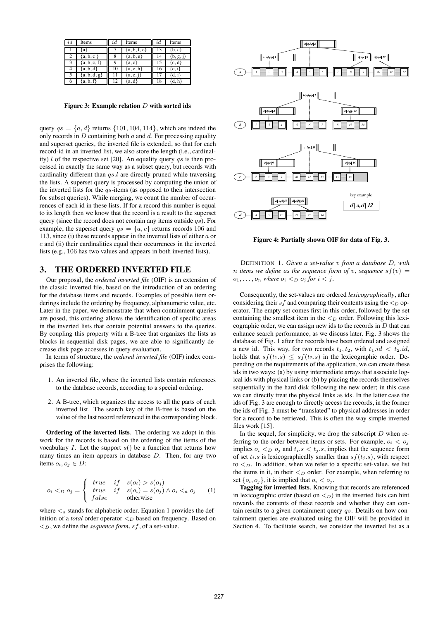| id | Items            | id | Items          | id | Items         |
|----|------------------|----|----------------|----|---------------|
|    | {a}              |    | ${a, b, f, e}$ |    | $\{b, c\}$    |
|    | $\{a, b, c\}$    |    | $\{a, b, e\}$  | 14 | $\{b, g, j\}$ |
|    | $\{a, b, c, f\}$ | 9  | $\{a, c\}$     |    | ${c,d}$       |
|    | $\{a, b, d\}$    | 10 | $\{a,c,h\}$    | 16 | $\{c, i\}$    |
|    | $\{a, b, d, g\}$ | 11 | ${a, c, j}$    | 17 | $\{d, i\}$    |
| 6  | {a, b, f}        |    | $\{a,d\}$      | 18 | $\{d, h\}$    |

**Figure 3: Example relation** D **with sorted ids**

query  $as = \{a, d\}$  returns  $\{101, 104, 114\}$ , which are indeed the only records in  $D$  containing both  $a$  and  $d$ . For processing equality and superset queries, the inverted file is extended, so that for each record-id in an inverted list, we also store the length (i.e., cardinality) l of the respective set [20]. An equality query  $qs$  is then processed in exactly the same way as a subset query, but records with cardinality different than  $qs.l$  are directly pruned while traversing the lists. A superset query is processed by computing the union of the inverted lists for the  $qs$ -items (as opposed to their intersection for subset queries). While merging, we count the number of occurrences of each id in these lists. If for a record this number is equal to its length then we know that the record is a result to the superset query (since the record does not contain any items outside  $qs$ ). For example, the superset query  $qs = \{a, c\}$  returns records 106 and 113, since (i) these records appear in the inverted lists of either a or  $c$  and (ii) their cardinalities equal their occurrences in the inverted lists (e.g., 106 has two values and appears in both inverted lists).

## **3. THE ORDERED INVERTED FILE**

Our proposal, the *ordered inverted file* (OIF) is an extension of the classic inverted file, based on the introduction of an ordering for the database items and records. Examples of possible item orderings include the ordering by frequency, alphanumeric value, etc. Later in the paper, we demonstrate that when containment queries are posed, this ordering allows the identification of specific areas in the inverted lists that contain potential answers to the queries. By coupling this property with a B-tree that organizes the lists as blocks in sequential disk pages, we are able to significantly decrease disk page accesses in query evaluation.

In terms of structure, the *ordered inverted file* (OIF) index comprises the following:

- 1. An inverted file, where the inverted lists contain references to the database records, according to a special ordering.
- 2. A B-tree, which organizes the access to all the parts of each inverted list. The search key of the B-tree is based on the value of the last record referenced in the corresponding block.

**Ordering of the inverted lists**. The ordering we adopt in this work for the records is based on the ordering of the items of the vocabulary I. Let the support  $s()$  be a function that returns how many times an item appears in database  $D$ . Then, for any two items  $o_i, o_j \in D$ :

$$
o_i <_D o_j = \begin{cases} \ntrue & \text{if } s(o_i) > s(o_j) \\ \ntrue & \text{if } s(o_i) = s(o_j) \land o_i <_a o_j \\ \nfalse & \text{otherwise} \n\end{cases} \tag{1}
$$

where  $\lt_a$  stands for alphabetic order. Equation 1 provides the definition of a *total* order operator  $\lt_D$  based on frequency. Based on  $\langle D \rangle$ , we define the *sequence form*, sf, of a set-value.



**Figure 4: Partially shown OIF for data of Fig. 3.**

DEFINITION 1. *Given a set-value* v *from a database* D*, with n items we define as the sequence form of v*, *sequence*  $sf(v)$  =  $o_1, \ldots, o_n$  *where*  $o_i <_{D} o_j$  *for*  $i < j$ *.* 

Consequently, the set-values are ordered *lexicographically*, after considering their s f and comparing their contents using the  $\leq_D$  operator. The empty set comes first in this order, followed by the set containing the smallest item in the  $\lt_D$  order. Following this lexicographic order, we can assign new ids to the records in  $D$  that can enhance search performance, as we discuss later. Fig. 3 shows the database of Fig. 1 after the records have been ordered and assigned a new id. This way, for two records  $t_1, t_2$ , with  $t_1$ .id  $\lt t_2$ .id, holds that  $sf(t_1.s) \leq sf(t_2.s)$  in the lexicographic order. Depending on the requirements of the application, we can create these ids in two ways: (a) by using intermediate arrays that associate logical ids with physical links or (b) by placing the records themselves sequentially in the hard disk following the new order; in this case we can directly treat the physical links as ids. In the latter case the ids of Fig. 3 are enough to directly access the records, in the former the ids of Fig. 3 must be "translated" to physical addresses in order for a record to be retrieved. This is often the way simple inverted files work [15].

In the sequel, for simplicity, we drop the subscript  $D$  when referring to the order between items or sets. For example,  $o_i < o_j$ implies  $o_i$  <  $_D$   $o_j$  and  $t_i.s < t_j.s$ , implies that the sequence form of set  $t_i$ , s is lexicographically smaller than  $sf(t_i,s)$ , with respect to  $\lt_D$ . In addition, when we refer to a specific set-value, we list the items in it, in their  $\langle D \rangle$  order. For example, when referring to set  $\{o_i, o_j\}$ , it is implied that  $o_i < o_j$ .

**Tagging for inverted lists**. Knowing that records are referenced in lexicographic order (based on  $\lt_D$ ) in the inverted lists can hint towards the contents of these records and whether they can contain results to a given containment query  $qs$ . Details on how containment queries are evaluated using the OIF will be provided in Section 4. To facilitate search, we consider the inverted list as a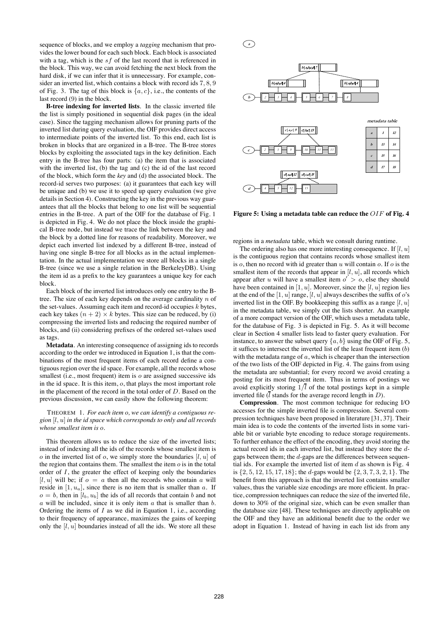sequence of blocks, and we employ a *tagging* mechanism that provides the lower bound for each such block. Each block is associated with a tag, which is the  $sf$  of the last record that is referenced in the block. This way, we can avoid fetching the next block from the hard disk, if we can infer that it is unnecessary. For example, consider an inverted list, which contains a block with record ids 7, 8, 9 of Fig. 3. The tag of this block is  $\{a, c\}$ , i.e., the contents of the last record (9) in the block.

**B-tree indexing for inverted lists**. In the classic inverted file the list is simply positioned in sequential disk pages (in the ideal case). Since the tagging mechanism allows for pruning parts of the inverted list during query evaluation, the OIF provides direct access to intermediate points of the inverted list. To this end, each list is broken in blocks that are organized in a B-tree. The B-tree stores blocks by exploiting the associated tags in the key definition. Each entry in the B-tree has four parts: (a) the item that is associated with the inverted list, (b) the tag and (c) the id of the last record of the block, which form the *key* and (d) the associated block. The record-id serves two purposes: (a) it guarantees that each key will be unique and (b) we use it to speed up query evaluation (we give details in Section 4). Constructing the key in the previous way guarantees that all the blocks that belong to one list will be sequential entries in the B-tree. A part of the OIF for the database of Fig. 1 is depicted in Fig. 4. We do not place the block inside the graphical B-tree node, but instead we trace the link between the key and the block by a dotted line for reasons of readability. Moreover, we depict each inverted list indexed by a different B-tree, instead of having one single B-tree for all blocks as in the actual implementation. In the actual implementation we store all blocks in a single B-tree (since we use a single relation in the BerkeleyDB). Using the item id as a prefix to the key guarantees a unique key for each block.

Each block of the inverted list introduces only one entry to the Btree. The size of each key depends on the average cardinality  $n$  of the set-values. Assuming each item and record-id occupies  $k$  bytes, each key takes  $(n + 2) \times k$  bytes. This size can be reduced, by (i) compressing the inverted lists and reducing the required number of blocks, and (ii) considering prefixes of the ordered set-values used as tags.

**Metadata**. An interesting consequence of assigning ids to records according to the order we introduced in Equation 1, is that the combinations of the most frequent items of each record define a contiguous region over the id space. For example, all the records whose smallest (i.e., most frequent) item is  $\sigma$  are assigned successive ids in the id space. It is this item,  $o$ , that plays the most important role in the placement of the record in the total order of  $D$ . Based on the previous discussion, we can easily show the following theorem:

#### THEOREM 1. *For each item* o*, we can identify a contiguous region* [l, u] *in the id space which corresponds to only and all records whose smallest item is* o*.*

This theorem allows us to reduce the size of the inverted lists; instead of indexing all the ids of the records whose smallest item is  $\alpha$  in the inverted list of  $\alpha$ , we simply store the boundaries [l, u] of the region that contains them. The smallest the item  $o$  is in the total order of  $I$ , the greater the effect of keeping only the boundaries [l, u] will be; if  $o = a$  then all the records who contain a will reside in  $[1, u_a]$ , since there is no item that is smaller than a. If  $o = b$ , then in  $[l_b, u_b]$  the ids of all records that contain b and not  $a$  will be included, since it is only item  $a$  that is smaller than  $b$ . Ordering the items of  $I$  as we did in Equation 1, i.e., according to their frequency of appearance, maximizes the gains of keeping only the  $[l, u]$  boundaries instead of all the ids. We store all these





**Figure 5: Using a metadata table can reduce the** OIF **of Fig. 4**

regions in a *metadata* table, which we consult during runtime.

The ordering also has one more interesting consequence. If  $[l, u]$ is the contiguous region that contains records whose smallest item is  $o$ , then no record with id greater than  $u$  will contain  $o$ . If  $o$  is the smallest item of the records that appear in  $[l, u]$ , all records which appear after u will have a smallest item  $o' > o$ , else they should have been contained in [1,  $u$ ]. Moreover, since the [l,  $u$ ] region lies at the end of the [1, u] range, [l, u] always describes the suffix of  $o$ 's inverted list in the OIF. By bookkeeping this suffix as a range  $[l, u]$ in the metadata table, we simply cut the lists shorter. An example of a more compact version of the OIF, which uses a metadata table, for the database of Fig. 3 is depicted in Fig. 5. As it will become clear in Section 4 smaller lists lead to faster query evaluation. For instance, to answer the subset query  $\{a, b\}$  using the OIF of Fig. 5, it suffices to intersect the inverted list of the least frequent item  $(b)$ with the metadata range of  $a$ , which is cheaper than the intersection of the two lists of the OIF depicted in Fig. 4. The gains from using the metadata are substantial; for every record we avoid creating a posting for its most frequent item. Thus in terms of postings we avoid explicitly storing  $1/l$  of the total postings kept in a simple inverted file  $(\bar{l}$  stands for the average record length in  $D$ ).

**Compression**. The most common technique for reducing I/O accesses for the simple inverted file is compression. Several compression techniques have been proposed in literature [31, 37]. Their main idea is to code the contents of the inverted lists in some variable bit or variable byte encoding to reduce storage requirements. To further enhance the effect of the encoding, they avoid storing the actual record ids in each inverted list, but instead they store the dgaps between them; the  $d$ -gaps are the differences between sequential ids. For example the inverted list of item  $d$  as shown is Fig. 4 is {2, 5, 12, 15, 17, 18}; the d-gaps would be {2, 3, 7, 3, 2, 1}. The benefit from this approach is that the inverted list contains smaller values, thus the variable size encodings are more efficient. In practice, compression techniques can reduce the size of the inverted file, down to 30% of the original size, which can be even smaller than the database size [48]. These techniques are directly applicable on the OIF and they have an additional benefit due to the order we adopt in Equation 1. Instead of having in each list ids from any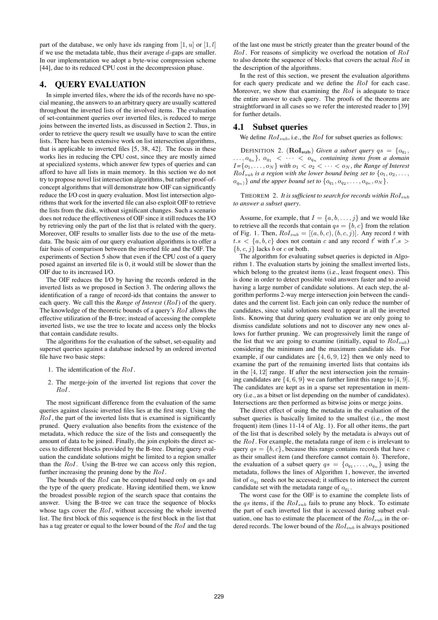part of the database, we only have ids ranging from  $[1, u]$  or  $[1, l]$ if we use the metadata table, thus their average  $d$ -gaps are smaller. In our implementation we adopt a byte-wise compression scheme [44], due to its reduced CPU cost in the decompression phase.

## **4. QUERY EVALUATION**

In simple inverted files, where the ids of the records have no special meaning, the answers to an arbitrary query are usually scattered throughout the inverted lists of the involved items. The evaluation of set-containment queries over inverted files, is reduced to merge joins between the inverted lists, as discussed in Section 2. Thus, in order to retrieve the query result we usually have to scan the entire lists. There has been extensive work on list intersection algorithms, that is applicable to inverted files [5, 38, 42]. The focus in these works lies in reducing the CPU cost, since they are mostly aimed at specialized systems, which answer few types of queries and can afford to have all lists in main memory. In this section we do not try to propose novel list intersection algorithms, but rather proof-ofconcept algorithms that will demonstrate how OIF can significantly reduce the I/O cost in query evaluation. Most list intersection algorithms that work for the inverted file can also exploit OIF to retrieve the lists from the disk, without significant changes. Such a scenario does not reduce the effectiveness of OIF since it still reduces the I/O by retrieving only the part of the list that is related with the query. Moreover, OIF results to smaller lists due to the use of the metadata. The basic aim of our query evaluation algorithms is to offer a fair basis of comparison between the inverted file and the OIF. The experiments of Section 5 show that even if the CPU cost of a query posed against an inverted file is 0, it would still be slower than the OIF due to its increased I/O.

The OIF reduces the I/O by having the records ordered in the inverted lists as we proposed in Section 3. The ordering allows the identification of a range of record-ids that contains the answer to each query. We call this the *Range of Interest* (RoI) of the query. The knowledge of the theoretic bounds of a query's  $RoI$  allows the effective utilization of the B-tree; instead of accessing the complete inverted lists, we use the tree to locate and access only the blocks that contain candidate results.

The algorithms for the evaluation of the subset, set-equality and superset queries against a database indexed by an ordered inverted file have two basic steps:

- 1. The identification of the RoI.
- 2. The merge-join of the inverted list regions that cover the RoI.

The most significant difference from the evaluation of the same queries against classic inverted files lies at the first step. Using the RoI, the part of the inverted lists that is examined is significantly pruned. Query evaluation also benefits from the existence of the metadata, which reduce the size of the lists and consequently the amount of data to be joined. Finally, the join exploits the direct access to different blocks provided by the B-tree. During query evaluation the candidate solutions might be limited to a region smaller than the RoI. Using the B-tree we can access only this region, further increasing the pruning done by the RoI.

The bounds of the RoI can be computed based only on qs and the type of the query predicate. Having identified them, we know the broadest possible region of the search space that contains the answer. Using the B-tree we can trace the sequence of blocks whose tags cover the RoI, without accessing the whole inverted list. The first block of this sequence is the first block in the list that has a tag greater or equal to the lower bound of the RoI and the tag

of the last one must be strictly greater than the greater bound of the RoI. For reasons of simplicity we overload the notation of RoI to also denote the sequence of blocks that covers the actual  $RoI$  in the description of the algorithms.

In the rest of this section, we present the evaluation algorithms for each query predicate and we define the RoI for each case. Moreover, we show that examining the  $RoI$  is adequate to trace the entire answer to each query. The proofs of the theorems are straightforward in all cases so we refer the interested reader to [39] for further details.

#### **4.1 Subset queries**

We define  $RoI_{sub}$ , i.e., the  $RoI$  for subset queries as follows:

**DEFINITION 2.** (**RoI<sub>sub</sub>**) *Given a subset query*  $qs = \{o_{q_1},$  $\ldots, o_{q_n}$ ,  $o_{q_1} < \cdots < o_{q_n}$  *containing items from a domain*  $I = \{o_1, \ldots, o_N\}$  *with*  $o_1 < o_2 < \cdots < o_N$ *, the Range of Interest*  $RoI_{sub}$  *is a region with the lower bound being set to*  $\{o_1, o_2, \ldots, o_k\}$  $\{o_{q_n}\}\}$  *and the upper bound set to*  $\{o_{q_1}, o_{q_2}, \ldots, o_{q_n}, o_N\}$ *.* 

THEOREM 2. It is sufficient to search for records within  $RoI_{sub}$ *to answer a subset query.*

Assume, for example, that  $I = \{a, b, \dots, j\}$  and we would like to retrieve all the records that contain  $qs = \{b, c\}$  from the relation of Fig. 1. Then,  $RoI_{sub} = [(a, b, c), (b, c, j)]$ . Any record t with  $t.s < \{a, b, c\}$  does not contain c and any record t' with  $t'.s >$  $\{b, c, j\}$  lacks b or c or both.

The algorithm for evaluating subset queries is depicted in Algorithm 1. The evaluation starts by joining the smallest inverted lists, which belong to the greatest items (i.e., least frequent ones). This is done in order to detect possible void answers faster and to avoid having a large number of candidate solutions. At each step, the algorithm performs 2-way merge intersection join between the candidates and the current list. Each join can only reduce the number of candidates, since valid solutions need to appear in all the inverted lists. Knowing that during query evaluation we are only going to dismiss candidate solutions and not to discover any new ones allows for further pruning. We can progressively limit the range of the list that we are going to examine (initially, equal to  $RoI_{sub}$ ) considering the minimum and the maximum candidate ids. For example, if our candidates are  $\{4, 6, 9, 12\}$  then we only need to examine the part of the remaining inverted lists that contains ids in the  $[4, 12]$  range. If after the next intersection join the remaining candidates are  $\{4, 6, 9\}$  we can further limit this range to  $[4, 9]$ . The candidates are kept as in a sparse set representation in memory (i.e., as a bitset or list depending on the number of candidates). Intersections are then performed as bitwise joins or merge joins.

The direct effect of using the metadata in the evaluation of the subset queries is basically limited to the smallest (i.e., the most frequent) item (lines 11-14 of Alg. 1). For all other items, the part of the list that is described solely by the metadata is always out of the  $RoI$ . For example, the metadata range of item  $c$  is irrelevant to query  $as = \{b, c\}$ , because this range contains records that have c as their smallest item (and therefore cannot contain b). Therefore, the evaluation of a subset query  $qs = \{o_{q_1}, \ldots, o_{q_n}\}\$ using the metadata, follows the lines of Algorithm 1, however, the inverted list of  $o_{q_1}$  needs not be accessed; it suffices to intersect the current candidate set with the metadata range of  $o_{q_1}$ .

The worst case for the OIF is to examine the complete lists of the  $qs$  items, if the  $RoI_{sub}$  fails to prune any block. To estimate the part of each inverted list that is accessed during subset evaluation, one has to estimate the placement of the  $RoI_{sub}$  in the ordered records. The lower bound of the  $RoI_{sub}$  is always positioned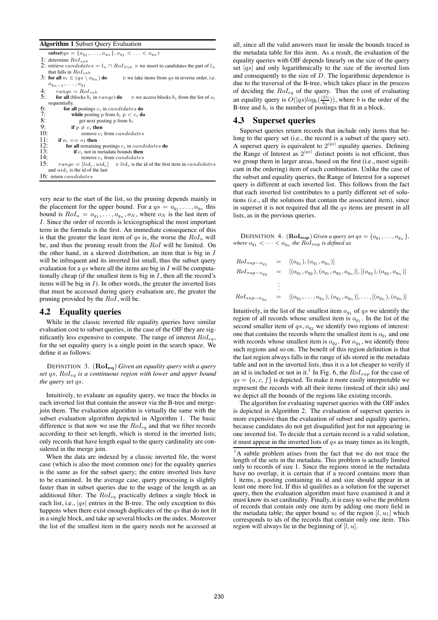#### **Algorithm 1** Subset Query Evaluation

| subset(qs = { $o_{q_1}, \ldots, o_{q_n}$ }, $o_{q_1} < \ldots < o_{q_n}$ )                                      |
|-----------------------------------------------------------------------------------------------------------------|
| 1: determine $RoI_{sub}$                                                                                        |
| 2: retrieve candidates $= l_n \cap RoI_{Sub}$ $\triangleright$ we insert to candidates the part of $l_n$        |
| that falls in $RoI_{sub}$                                                                                       |
| 3: for all $o_i \in (qs \setminus o_{q_n})$ do<br>$\triangleright$ we take items from qs in reverse order, i.e. |
| $o_{q_{n-1}}, \ldots, o_{q_1}$                                                                                  |
| 4:<br>$range = RoI_{sub}$                                                                                       |
| 5:<br>for all (blocks $b_i$ in $range$ ) do<br>$\triangleright$ we access blocks $b_i$ from the list of $o_i$   |
| sequentially.                                                                                                   |
| 6:<br>for all postings $c_i$ in candidates do                                                                   |
| 7:<br>while posting p from $b_i$ $p < c_i$ do                                                                   |
| 8:<br>get next posting p from $b_i$                                                                             |
| 9:<br>if $p \neq c_i$ then                                                                                      |
| 10:<br>remove $c_i$ from candidates                                                                             |
| 11:<br>if $o_i == o_1$ then                                                                                     |
| 12:<br>for all remaining postings $c_i$ in candidates do                                                        |
| 13:<br><b>if</b> $c_i$ not in metadata bounds <b>then</b>                                                       |
| 14:<br>remove $c_i$ from candidates                                                                             |
| 15:<br>$range = [lid_c, uid_c]$ $\Rightarrow lid_c$ is the id of the first item in candidates                   |
| and $uid_c$ is the id of the last                                                                               |
| 16: return <i>candidates</i>                                                                                    |

very near to the start of the list, so the pruning depends mainly in the placement for the upper bound. For a  $qs = o_{q_1}, \ldots, o_{q_n}$  this bound is  $RoI_u = o_{q_1}, \ldots, o_{q_n}, o_N$ , where  $o_N$  is the last item of I. Since the order of records is lexicographical the most important term in the formula is the first. An immediate consequence of this is that the greater the least item of  $qs$  is, the worse the  $RoI_u$  will be, and thus the pruning result from the RoI will be limited. On the other hand, in a skewed distribution, an item that is big in  $I$ will be infrequent and its inverted list small, thus the subset query evaluation for a  $qs$  where all the items are big in  $I$  will be computationally cheap (if the smallest item is big in  $I$ , then all the record's items will be big in  $I$ ). In other words, the greater the inverted lists that must be accessed during query evaluation are, the greater the pruning provided by the RoI, will be.

#### **4.2 Equality queries**

While in the classic inverted file equality queries have similar evaluation cost to subset queries, in the case of the OIF they are significantly less expensive to compute. The range of interest  $RoI_{eq}$ , for the set equality query is a single point in the search space. We define it as follows:

DEFINITION 3. (RoIeq) *Given an equality query with a query set* qs*,* RoIeq *is a continuous region with lower and upper bound the query set* qs*.*

Intuitively, to evaluate an equality query, we trace the blocks in each inverted list that contain the answer via the B-tree and mergejoin them. The evaluation algorithm is virtually the same with the subset evaluation algorithm depicted in Algorithm 1. The basic difference is that now we use the  $RoI_{eq}$  and that we filter records according to their set-length, which is stored in the inverted lists; only records that have length equal to the query cardinality are considered in the merge join.

When the data are indexed by a classic inverted file, the worst case (which is also the most common one) for the equality queries is the same as for the subset query; the entire inverted lists have to be examined. In the average case, query processing is slightly faster than in subset queries due to the usage of the length as an additional filter. The  $RoI_{eq}$  practically defines a single block in each list, i.e.,  $|qs|$  entries in the B-tree. The only exception to this happens when there exist enough duplicates of the qs that do not fit in a single block, and take up several blocks on the index. Moreover the list of the smallest item in the query needs not be accessed at

all, since all the valid answers must lie inside the bounds traced in the metadata table for this item. As a result, the evaluation of the equality queries with OIF depends linearly on the size of the query set  $|qs|$  and only logarithmically to the size of the inverted lists and consequently to the size of  $D$ . The logarithmic dependence is due to the traversal of the B-tree, which takes place in the process of deciding the  $RoI_{eq}$  of the query. Thus the cost of evaluating an equality query is  $O(|qs|log_b(\frac{|D|}{b_c}))$ , where b is the order of the B-tree and  $b_c$  is the number of postings that fit in a block.

#### **4.3 Superset queries**

Superset queries return records that include only items that belong to the query set (i.e., the record is a subset of the query set). A superset query is equivalent to  $2^{|qs|}$  equality queries. Defining the Range of Interest as  $2^{|qs|}$  distinct points is not efficient, thus we group them in larger areas, based on the first (i.e., most significant in the ordering) item of each combination. Unlike the case of the subset and equality queries, the Range of Interest for a superset query is different at each inverted list. This follows from the fact that each inverted list contributes to a partly different set of solutions (i.e., all the solutions that contain the associated item), since in superset it is not required that all the  $qs$  items are present in all lists, as in the previous queries.

**DEFINITION** 4.  $(\mathbf{RoI_{sup}})$  *Given a query set*  $qs = \{o_{q_1}, \ldots, o_{q_n}\}\$ *where*  $o_{q_1} < \cdots < o_{q_n}$  *the RoI<sub>sup</sub> is defined as* 

$$
RoI_{sup-o_{q_1}} = [(o_{q_1}), (o_{q_1}, o_{q_n})]
$$
  
\n
$$
RoI_{sup-o_{q_2}} = [(o_{q_1}, o_{q_2}), (o_{q_1}, o_{q_2}, o_{q_n})], [(o_{q_2}), (o_{q_2}, o_{q_n})]
$$
  
\n
$$
\vdots
$$
  
\n
$$
RoI_{sup-o_{q_n}} = [(o_{q_1}, \ldots, o_{q_n}), (o_{q_1}, o_{q_n})], \ldots, [(o_{q_n}), (o_{q_n})]
$$

Intuitively, in the list of the smallest item  $o_{q_1}$  of qs we identify the region of all records whose smallest item is  $o_{q_1}$ . In the list of the second smaller item of  $qs$ ,  $o_{q_2}$  we identify two regions of interest: one that contains the records where the smallest item is  $o_{q_1}$  and one with records whose smallest item is  $o_{q_2}$ . For  $o_{q_3}$ , we identify three such regions and so on. The benefit of this region definition is that the last region always falls in the range of ids stored in the metadata table and not in the inverted lists, thus it is a lot cheaper to verify if an id is included or not in it.<sup>1</sup> In Fig. 6, the  $RoI_{sup}$  for the case of  $qs = \{a, c, f\}$  is depicted. To make it more easily interpretable we represent the records with all their items (instead of their ids) and we depict all the bounds of the regions like existing records.

The algorithm for evaluating superset queries with the OIF index is depicted in Algorithm 2. The evaluation of superset queries is more expensive than the evaluation of subset and equality queries, because candidates do not get disqualified just for not appearing in one inverted list. To decide that a certain record is a valid solution, it must appear in the inverted lists of  $qs$  as many times as its length,

<sup>&</sup>lt;sup>1</sup>A subtle problem arises from the fact that we do not trace the length of the sets in the metadata. This problem is actually limited only to records of size 1. Since the regions stored in the metadata have no overlap, it is certain that if a record contains more than 1 items, a posting containing its id and size should appear in at least one more list. If this id qualifies as a solution for the superset query, then the evaluation algorithm must have examined it and it must know its set cardinality. Finally, it is easy to solve the problem of records that contain only one item by adding one more field in the metadata table; the upper bound  $u_1$  of the region  $[l, u_1]$  which corresponds to ids of the records that contain only one item. This region will always lie in the beginning of  $[l, u]$ .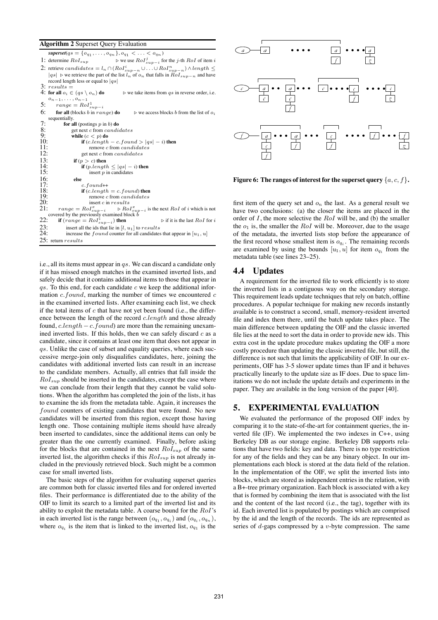## **Algorithm 2** Superset Query Evaluation

|     | superset(qs = { $o_{q_1}, \ldots, o_{q_n}$ }, $o_{q_1} < \ldots < o_{q_n}$ )                                                                             |
|-----|----------------------------------------------------------------------------------------------------------------------------------------------------------|
|     | $\triangleright$ we use $RoI_{sup-i}^j$ for the j-th $RoI$ of item i<br>1: determine $RoI_{sup}$                                                         |
|     | 2: retrieve candidates = $l_n \cap (RoI_{sup-n}^i \cup  \cup RoI_{sup-n}^n) \wedge length \le$                                                           |
|     | $ qs $ $\triangleright$ we retrieve the part of the list $l_n$ of $o_n$ that falls in $RoI_{sup-n}$ and have                                             |
|     | record length less or equal to $ qs $                                                                                                                    |
|     | $3: results =$                                                                                                                                           |
|     | 4: for all $o_i \in (qs \setminus o_n)$ do<br>$\triangleright$ we take items from qs in reverse order, i.e.                                              |
|     | $o_{n-1}, \ldots, o_{n-1}$                                                                                                                               |
| 5:  | $range = RoI_{sup-i}^1$                                                                                                                                  |
| 6:  | <b>for all</b> (blocks b in $range$ ) do<br>$\triangleright$ we access blocks b from the list of $o_i$                                                   |
|     | sequentially.                                                                                                                                            |
| 7:  | for all (postings $p$ in $b$ ) do                                                                                                                        |
| 8:  | get next c from candidates                                                                                                                               |
| 9:  | while $(c < p)$ do                                                                                                                                       |
| 10: | <b>if</b> ( <i>c.length</i> – <i>c.found</i> > $ qs $ – <i>i</i> ) then                                                                                  |
| 11: | remove c from candidates                                                                                                                                 |
| 12: | get next c from candidates                                                                                                                               |
| 13: | if $(p > c)$ then                                                                                                                                        |
| 14: | if $(p.length \le  qs  - i)$ then                                                                                                                        |
| 15: | insert $p$ in candidates                                                                                                                                 |
| 16: | else                                                                                                                                                     |
| 17: | $c$ . f ound $++$                                                                                                                                        |
| 18: | if $(c.length = cscript and)$ then                                                                                                                       |
| 19: | remove c from candidates                                                                                                                                 |
| 20: | insert $c$ in $results$                                                                                                                                  |
| 21: |                                                                                                                                                          |
|     | $range = RoI_{sup-i}^{x}$ $\rightarrow$ $RoI_{sup-i}^{x}$ is the next RoI of <i>i</i> which is not<br>covered by the previously examined block $\hat{b}$ |
| 22: | $\triangleright$ if it is the last $RoI$ for i                                                                                                           |
|     | if $(range = \text{RoI}_{sup-i}^i)$ then                                                                                                                 |
| 23: | insert all the ids that lie in $[l, u_1]$ to results                                                                                                     |
| 24: | increase the $found$ counter for all candidates that appear in $[u_1, u]$                                                                                |
| 25: | return results                                                                                                                                           |

i.e., all its items must appear in  $qs$ . We can discard a candidate only if it has missed enough matches in the examined inverted lists, and safely decide that it contains additional items to those that appear in  $qs.$  To this end, for each candidate c we keep the additional information  $c$ . found, marking the number of times we encountered  $c$ in the examined inverted lists. After examining each list, we check if the total items of  $c$  that have not yet been found (i.e., the difference between the length of the record  $c.length$  and those already found,  $c.length - c$ . found) are more than the remaining unexamined inverted lists. If this holds, then we can safely discard  $c$  as a candidate, since it contains at least one item that does not appear in qs. Unlike the case of subset and equality queries, where each successive merge-join only disqualifies candidates, here, joining the candidates with additional inverted lists can result in an increase to the candidate members. Actually, all entries that fall inside the  $RoI_{sup}$  should be inserted in the candidates, except the case where we can conclude from their length that they cannot be valid solutions. When the algorithm has completed the join of the lists, it has to examine the ids from the metadata table. Again, it increases the found counters of existing candidates that were found. No new candidates will be inserted from this region, except those having length one. Those containing multiple items should have already been inserted to candidates, since the additional items can only be greater than the one currently examined. Finally, before asking for the blocks that are contained in the next  $RoI_{sup}$  of the same inverted list, the algorithm checks if this  $RoI_{sup}$  is not already included in the previously retrieved block. Such might be a common case for small inverted lists.

The basic steps of the algorithm for evaluating superset queries are common both for classic inverted files and for ordered inverted files. Their performance is differentiated due to the ability of the OIF to limit its search to a limited part of the inverted list and its ability to exploit the metadata table. A coarse bound for the  $RoI$ 's in each inverted list is the range between  $(o_{q_1}, o_{q_i})$  and  $(o_{q_i}, o_{q_n})$ , where  $o_{q_i}$  is the item that is linked to the inverted list,  $o_{q_1}$  is the



**Figure 6:** The ranges of interest for the superset query  $\{a, c, f\}$ .

first item of the query set and  $o_n$  the last. As a general result we have two conclusions: (a) the closer the items are placed in the order of  $I$ , the more selective the  $RoI$  will be, and (b) the smaller the  $o_1$  is, the smaller the  $RoI$  will be. Moreover, due to the usage of the metadata, the inverted lists stop before the appearance of the first record whose smallest item is  $o_{q_i}$ . The remaining records are examined by using the bounds  $[u_1, u]$  for item  $o_{q_i}$  from the metadata table (see lines 23–25).

## **4.4 Updates**

A requirement for the inverted file to work efficiently is to store the inverted lists in a contiguous way on the secondary storage. This requirement leads update techniques that rely on batch, offline procedures. A popular technique for making new records instantly available is to construct a second, small, memory-resident inverted file and index them there, until the batch update takes place. The main difference between updating the OIF and the classic inverted file lies at the need to sort the data in order to provide new ids. This extra cost in the update procedure makes updating the OIF a more costly procedure than updating the classic inverted file, but still, the difference is not such that limits the applicability of OIF. In our experiments, OIF has 3-5 slower update times than IF and it behaves practically linearly to the update size as IF does. Due to space limitations we do not include the update details and experiments in the paper. They are available in the long version of the paper [40].

## **5. EXPERIMENTAL EVALUATION**

We evaluated the performance of the proposed OIF index by comparing it to the state-of-the-art for containment queries, the inverted file (IF). We implemented the two indexes in C++, using Berkeley DB as our storage engine. Berkeley DB supports relations that have two fields: key and data. There is no type restriction for any of the fields and they can be any binary object. In our implementations each block is stored at the data field of the relation. In the implementation of the OIF, we split the inverted lists into blocks, which are stored as independent entries in the relation, with a B+-tree primary organization. Each block is associated with a key that is formed by combining the item that is associated with the list and the content of the last record (i.e., the tag), together with its id. Each inverted list is populated by postings which are comprised by the id and the length of the records. The ids are represented as series of  $d$ -gaps compressed by a  $v$ -byte compression. The same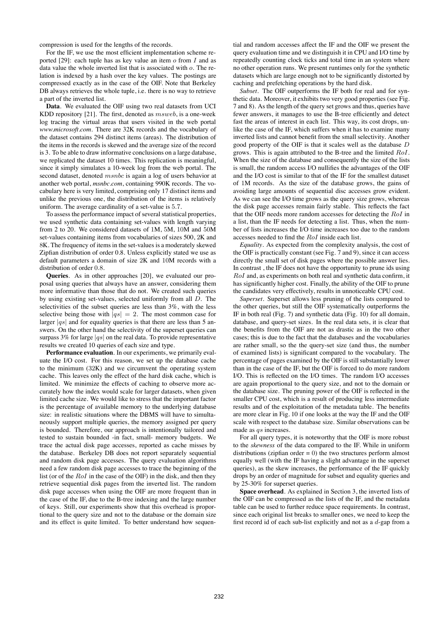compression is used for the lengths of the records.

For the IF, we use the most efficient implementation scheme reported  $[29]$ : each tuple has as key value an item  $o$  from  $I$  and as data value the whole inverted list that is associated with o. The relation is indexed by a hash over the key values. The postings are compressed exactly as in the case of the OIF. Note that Berkeley DB always retrieves the whole tuple, i.e. there is no way to retrieve a part of the inverted list.

**Data**. We evaluated the OIF using two real datasets from UCI KDD repository [21]. The first, denoted as  $msweb$ , is a one-week log tracing the virtual areas that users visited in the web portal *www.microsoft.com*. There are 32K records and the vocabulary of the dataset contains 294 distinct items (areas). The distribution of the items in the records is skewed and the average size of the record is 3. To be able to draw informative conclusions on a large database, we replicated the dataset 10 times. This replication is meaningful, since it simply simulates a 10-week log from the web portal. The second dataset, denoted *msnbc* is again a log of users behavior at another web portal, *msnbc.com*, containing 990K records. The vocabulary here is very limited, comprising only 17 distinct items and unlike the previous one, the distribution of the items is relatively uniform. The average cardinality of a set-value is 5.7.

To assess the performance impact of several statistical properties, we used synthetic data containing set-values with length varying from 2 to 20. We considered datasets of 1M, 5M, 10M and 50M set-values containing items from vocabularies of sizes 500, 2K and 8K. The frequency of items in the set-values is a moderately skewed Zipfian distribution of order 0.8. Unless explicitly stated we use as default parameters a domain of size 2K and 10M records with a distribution of order 0.8.

**Queries**. As in other approaches [20], we evaluated our proposal using queries that always have an answer, considering them more informative than those that do not. We created such queries by using existing set-values, selected uniformly from all D. The selectivities of the subset queries are less than 3%, with the less selective being those with  $|qs| = 2$ . The most common case for larger  $|qs|$  and for equality queries is that there are less than 5 answers. On the other hand the selectivity of the superset queries can surpass 3% for large  $|qs|$  on the real data. To provide representative results we created 10 queries of each size and type.

**Performance evaluation**. In our experiments, we primarily evaluate the I/O cost. For this reason, we set up the database cache to the minimum (32K) and we circumvent the operating system cache. This leaves only the effect of the hard disk cache, which is limited. We minimize the effects of caching to observe more accurately how the index would scale for larger datasets, when given limited cache size. We would like to stress that the important factor is the percentage of available memory to the underlying database size: in realistic situations where the DBMS will have to simultaneously support multiple queries, the memory assigned per query is bounded. Therefore, our approach is intentionally tailored and tested to sustain bounded -in fact, small- memory budgets. We trace the actual disk page accesses, reported as cache misses by the database. Berkeley DB does not report separately sequential and random disk page accesses. The query evaluation algorithms need a few random disk page accesses to trace the beginning of the list (or of the  $RoI$  in the case of the OIF) in the disk, and then they retrieve sequential disk pages from the inverted list. The random disk page accesses when using the OIF are more frequent than in the case of the IF, due to the B-tree indexing and the large number of keys. Still, our experiments show that this overhead is proportional to the query size and not to the database or the domain size and its effect is quite limited. To better understand how sequen-

tial and random accesses affect the IF and the OIF we present the query evaluation time and we distinguish it in CPU and I/O time by repeatedly counting clock ticks and total time in an system where no other operation runs. We present runtimes only for the synthetic datasets which are large enough not to be significantly distorted by caching and prefetching operations by the hard disk.

*Subset*. The OIF outperforms the IF both for real and for synthetic data. Moreover, it exhibits two very good properties (see Fig. 7 and 8). As the length of the query set grows and thus, queries have fewer answers, it manages to use the B-tree efficiently and detect fast the areas of interest in each list. This way, its cost drops, unlike the case of the IF, which suffers when it has to examine many inverted lists and cannot benefit from the small selectivity. Another good property of the OIF is that it scales well as the database D grows. This is again attributed to the B-tree and the limited RoI. When the size of the database and consequently the size of the lists is small, the random access I/O nullifies the advantages of the OIF and the I/O cost is similar to that of the IF for the smallest dataset of 1M records. As the size of the database grows, the gains of avoiding large amounts of sequential disc accesses grow evident. As we can see the I/O time grows as the query size grows, whereas the disk page accesses remain fairly stable. This reflects the fact that the OIF needs more random accesses for detecting the RoI in a list, than the IF needs for detecting a list. Thus, when the number of lists increases the I/O time increases too due to the random accesses needed to find the RoI inside each list.

*Equality*. As expected from the complexity analysis, the cost of the OIF is practically constant (see Fig. 7 and 9), since it can access directly the small set of disk pages where the possible answer lies. In contrast , the IF does not have the opportunity to prune ids using RoI and, as experiments on both real and synthetic data confirm, it has significantly higher cost. Finally, the ability of the OIF to prune the candidates very effectively, results in unnoticeable CPU cost.

*Superset*. Superset allows less pruning of the lists compared to the other queries, but still the OIF systematically outperforms the IF in both real (Fig. 7) and synthetic data (Fig. 10) for all domain, database, and query-set sizes. In the real data sets, it is clear that the benefits from the OIF are not as drastic as in the two other cases; this is due to the fact that the databases and the vocabularies are rather small, so the the query-set size (and thus, the number of examined lists) is significant compared to the vocabulary. The percentage of pages examined by the OIF is still substantially lower than in the case of the IF, but the OIF is forced to do more random I/O. This is reflected on the I/O times. The random I/O accesses are again proportional to the query size, and not to the domain or the database size. The pruning power of the OIF is reflected in the smaller CPU cost, which is a result of producing less intermediate results and of the exploitation of the metadata table. The benefits are more clear in Fig. 10 if one looks at the way the IF and the OIF scale with respect to the database size. Similar observations can be made as qs increases.

For all query types, it is noteworthy that the OIF is more robust to the *skewness* of the data compared to the IF. While in uniform distributions (zipfian order  $= 0$ ) the two structures perform almost equally well (with the IF having a slight advantage in the superset queries), as the skew increases, the performance of the IF quickly drops by an order of magnitude for subset and equality queries and by 25-30% for superset queries.

**Space overhead**. As explained in Section 3, the inverted lists of the OIF can be compressed as the lists of the IF, and the metadata table can be used to further reduce space requirements. In contrast, since each original list breaks to smaller ones, we need to keep the first record id of each sub-list explicitly and not as a  $d$ -gap from a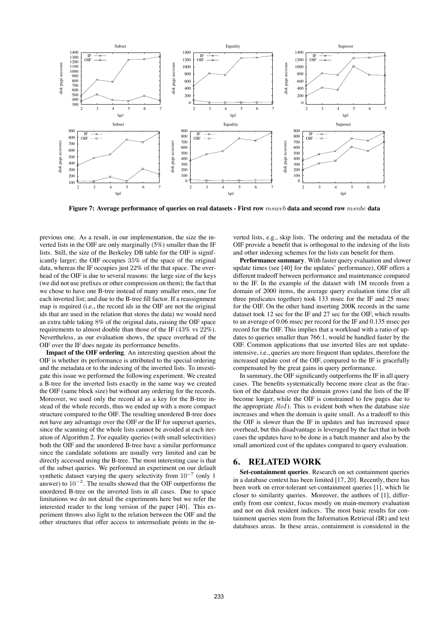

**Figure 7: Average performance of queries on real datasets - First row** msweb **data and second row** msnbc **data**

previous one. As a result, in our implementation, the size the inverted lists in the OIF are only marginally (5%) smaller than the IF lists. Still, the size of the Berkeley DB table for the OIF is significantly larger; the OIF occupies 35% of the space of the original data, whereas the IF occupies just 22% of the that space. The overhead of the OIF is due to several reasons: the large size of the keys (we did not use prefixes or other compression on them); the fact that we chose to have one B-tree instead of many smaller ones, one for each inverted list; and due to the B-tree fill factor. If a reassignment map is required (i.e., the record ids in the OIF are not the original ids that are used in the relation that stores the data) we would need an extra table taking 8% of the original data, raising the OIF space requirements to almost double than those of the IF (43% vs 22%). Nevertheless, as our evaluation shows, the space overhead of the OIF over the IF does negate its performance benefits.

**Impact of the OIF ordering**. An interesting question about the OIF is whether its performance is attributed to the special ordering and the metadata or to the indexing of the inverted lists. To investigate this issue we performed the following experiment. We created a B-tree for the inverted lists exactly in the same way we created the OIF (same block size) but without any ordering for the records. Moreover, we used only the record id as a key for the B-tree instead of the whole records, thus we ended up with a more compact structure compared to the OIF. The resulting unordered B-tree does not have any advantage over the OIF or the IF for superset queries, since the scanning of the whole lists cannot be avoided at each iteration of Algorithm 2. For equality queries (with small selectivities) both the OIF and the unordered B-tree have a similar performance since the candidate solutions are usually very limited and can be directly accessed using the B-tree. The most interesting case is that of the subset queries. We performed an experiment on our default synthetic dataset varying the query selectivity from  $10^{-7}$  (only 1 answer) to  $10^{-2}$ . The results showed that the OIF outperforms the unordered B-tree on the inverted lists in all cases. Due to space limitations we do not detail the experiments here but we refer the interested reader to the long version of the paper [40]. This experiment throws also light to the relation between the OIF and the other structures that offer access to intermediate points in the in-

verted lists, e.g., skip lists. The ordering and the metadata of the OIF provide a benefit that is orthogonal to the indexing of the lists and other indexing schemes for the lists can benefit for them.

**Performance summary**. With faster query evaluation and slower update times (see [40] for the updates' performance), OIF offers a different tradeoff between performance and maintenance compared to the IF. In the example of the dataset with 1M records from a domain of 2000 items, the average query evaluation time (for all three predicates together) took 133 msec for the IF and 25 msec for the OIF. On the other hand inserting 200K records in the same dataset took 12 sec for the IF and 27 sec for the OIF, which results to an average of 0.06 msec per record for the IF and 0.135 msec per record for the OIF. This implies that a workload with a ratio of updates to queries smaller than 766:1, would be handled faster by the OIF. Common applications that use inverted files are not updateintensive, i.e., queries are more frequent than updates, therefore the increased update cost of the OIF, compared to the IF is gracefully compensated by the great gains in query performance.

In summary, the OIF significantly outperforms the IF in all query cases. The benefits systematically become more clear as the fraction of the database over the domain grows (and the lists of the IF become longer, while the OIF is constrained to few pages due to the appropriate  $RoI$ ). This is evident both when the database size increases and when the domain is quite small. As a tradeoff to this the OIF is slower than the IF in updates and has increased space overhead, but this disadvantage is leveraged by the fact that in both cases the updates have to be done in a batch manner and also by the small amortized cost of the updates compared to query evaluation.

## **6. RELATED WORK**

**Set-containment queries**. Research on set containment queries in a database context has been limited [17, 20]. Recently, there has been work on error-tolerant set-containment queries [1], which lie closer to similarity queries. Moreover, the authors of [1], differently from our context, focus mostly on main-memory evaluation and not on disk resident indices. The most basic results for containment queries stem from the Information Retrieval (IR) and text databases areas. In these areas, containment is considered in the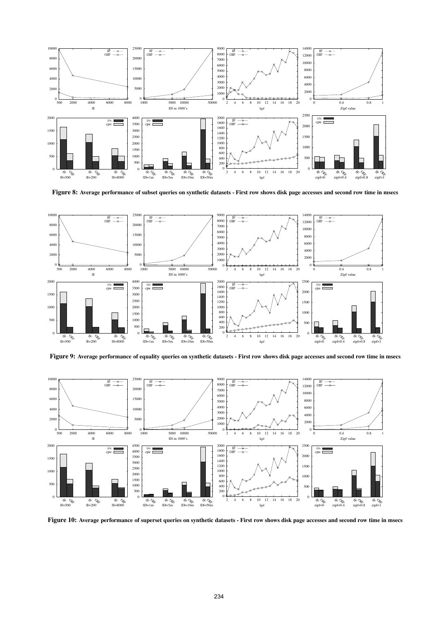

**Figure 8: Average performance of subset queries on synthetic datasets - First row shows disk page accesses and second row time in msecs**



**Figure 9: Average performance of equality queries on synthetic datasets - First row shows disk page accesses and second row time in msecs**



**Figure 10: Average performance of superset queries on synthetic datasets - First row shows disk page accesses and second row time in msecs**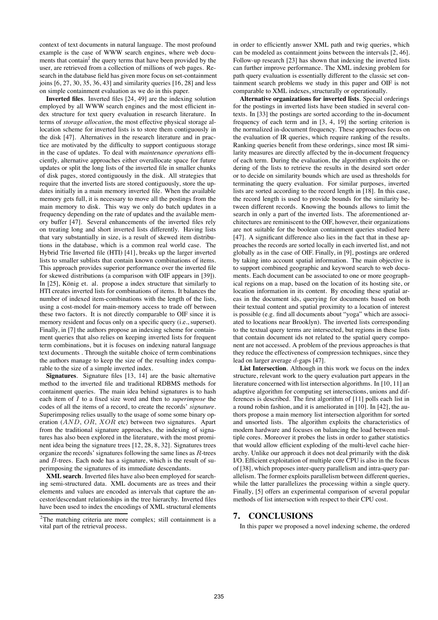context of text documents in natural language. The most profound example is the case of WWW search engines, where web documents that contain<sup>2</sup> the query terms that have been provided by the user, are retrieved from a collection of millions of web pages. Research in the database field has given more focus on set-containment joins [6, 27, 30, 35, 36, 43] and similarity queries [16, 28] and less on simple containment evaluation as we do in this paper.

**Inverted files**. Inverted files [24, 49] are the indexing solution employed by all WWW search engines and the most efficient index structure for text query evaluation in research literature. In terms of *storage allocation*, the most effective physical storage allocation scheme for inverted lists is to store them contiguously in the disk [47]. Alternatives in the research literature and in practice are motivated by the difficulty to support contiguous storage in the case of updates. To deal with *maintenance operations* efficiently, alternative approaches either overallocate space for future updates or split the long lists of the inverted file in smaller chunks of disk pages, stored contiguously in the disk. All strategies that require that the inverted lists are stored contiguously, store the updates initially in a main memory inverted file. When the available memory gets full, it is necessary to move all the postings from the main memory to disk. This way we only do batch updates in a frequency depending on the rate of updates and the available memory buffer [47]. Several enhancements of the inverted files rely on treating long and short inverted lists differently. Having lists that vary substantially in size, is a result of skewed item distributions in the database, which is a common real world case. The Hybrid Trie Inverted file (HTI) [41], breaks up the larger inverted lists to smaller sublists that contain known combinations of items. This approach provides superior performance over the inverted file for skewed distributions (a comparison with OIF appears in [39]). In [25], König et. al. propose a index structure that similarly to HTI creates inverted lists for combinations of items. It balances the number of indexed item-combinations with the length of the lists, using a cost-model for main-memory access to trade off between these two factors. It is not directly comparable to OIF since it is memory resident and focus only on a specific query (i.e., superset). Finally, in [7] the authors propose an indexing scheme for containment queries that also relies on keeping inverted lists for frequent term combinations, but it is focuses on indexing natural language text documents . Through the suitable choice of term combinations the authors manage to keep the size of the resulting index comparable to the size of a simple inverted index.

**Signatures**. Signature files [13, 14] are the basic alternative method to the inverted file and traditional RDBMS methods for containment queries. The main idea behind signatures is to hash each item of I to a fixed size word and then to *superimpose* the codes of all the items of a record, to create the records' *signature*. Superimposing relies usually to the usage of some some binary operation (AND, OR, XOR etc) between two signatures. Apart from the traditional signature approaches, the indexing of signatures has also been explored in the literature, with the most prominent idea being the signature trees [12, 28, 8, 32]. Signatures trees organize the records' signatures following the same lines as  $R$ -trees and B-trees. Each node has a signature, which is the result of superimposing the signatures of its immediate descendants.

**XML search**. Inverted files have also been employed for searching semi-structured data. XML documents are as trees and their elements and values are encoded as intervals that capture the ancestor/descendant relationships in the tree hierarchy. Inverted files have been used to index the encodings of XML structural elements

in order to efficiently answer XML path and twig queries, which can be modeled as containment joins between the intervals [2, 46]. Follow-up research [23] has shown that indexing the inverted lists can further improve performance. The XML indexing problem for path query evaluation is essentially different to the classic set containment search problems we study in this paper and OIF is not comparable to XML indexes, structurally or operationally.

**Alternative organizations for inverted lists**. Special orderings for the postings in inverted lists have been studied in several contexts. In [33] the postings are sorted according to the in-document frequency of each term and in [3, 4, 19] the sorting criterion is the normalized in-document frequency. These approaches focus on the evaluation of IR queries, which require ranking of the results. Ranking queries benefit from these orderings, since most IR similarity measures are directly affected by the in-document frequency of each term. During the evaluation, the algorithm exploits the ordering of the lists to retrieve the results in the desired sort order or to decide on similarity bounds which are used as thresholds for terminating the query evaluation. For similar purposes, inverted lists are sorted according to the record length in [18]. In this case, the record length is used to provide bounds for the similarity between different records. Knowing the bounds allows to limit the search in only a part of the inverted lists. The aforementioned architectures are reminiscent to the OIF, however, their organizations are not suitable for the boolean containment queries studied here [47]. A significant difference also lies in the fact that in these approaches the records are sorted locally in each inverted list, and not globally as in the case of OIF. Finally, in [9], postings are ordered by taking into account spatial information. The main objective is to support combined geographic and keyword search to web documents. Each document can be associated to one or more geographical regions on a map, based on the location of its hosting site, or location information in its content. By encoding these spatial areas in the document ids, querying for documents based on both their textual content and spatial proximity to a location of interest is possible (e.g. find all documents about "yoga" which are associated to locations near Brooklyn). The inverted lists corresponding to the textual query terms are intersected, but regions in these lists that contain document ids not related to the spatial query component are not accessed. A problem of the previous approaches is that they reduce the effectiveness of compression techniques, since they lead on larger average d-gaps [47].

**List Intersection**. Although in this work we focus on the index structure, relevant work to the query evaluation part appears in the literature concerned with list intersection algorithms. In [10, 11] an adaptive algorithm for computing set intersections, unions and differences is described. The first algorithm of [11] polls each list in a round robin fashion, and it is ameliorated in [10]. In [42], the authors propose a main memory list intersection algorithm for sorted and unsorted lists. The algorithm exploits the characteristics of modern hardware and focuses on balancing the load between multiple cores. Moreover it probes the lists in order to gather statistics that would allow efficient exploding of the multi-level cache hierarchy. Unlike our approach it does not deal primarily with the disk I/O. Efficient exploitation of multiple core CPU is also in the focus of [38], which proposes inter-query parallelism and intra-query parallelism. The former exploits parallelism between different queries, while the latter parallelizes the processing within a single query. Finally, [5] offers an experimental comparison of several popular methods of list intersection with respect to their CPU cost.

## **7. CONCLUSIONS**

In this paper we proposed a novel indexing scheme, the ordered

 $2$ The matching criteria are more complex; still containment is a vital part of the retrieval process.